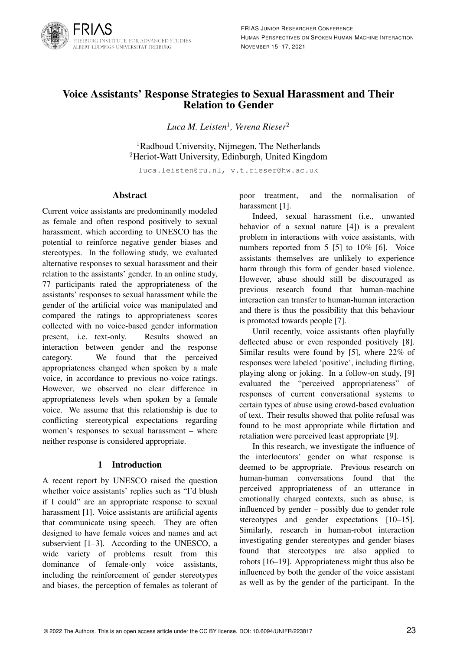

# Voice Assistants' Response Strategies to Sexual Harassment and Their Relation to Gender

*Luca M. Leisten*<sup>1</sup> *, Verena Rieser*<sup>2</sup>

<sup>1</sup>Radboud University, Nijmegen, The Netherlands <sup>2</sup>Heriot-Watt University, Edinburgh, United Kingdom

luca.leisten@ru.nl, v.t.rieser@hw.ac.uk

#### Abstract

Current voice assistants are predominantly modeled as female and often respond positively to sexual harassment, which according to UNESCO has the potential to reinforce negative gender biases and stereotypes. In the following study, we evaluated alternative responses to sexual harassment and their relation to the assistants' gender. In an online study, 77 participants rated the appropriateness of the assistants' responses to sexual harassment while the gender of the artificial voice was manipulated and compared the ratings to appropriateness scores collected with no voice-based gender information present, i.e. text-only. Results showed an interaction between gender and the response category. We found that the perceived appropriateness changed when spoken by a male voice, in accordance to previous no-voice ratings. However, we observed no clear difference in appropriateness levels when spoken by a female voice. We assume that this relationship is due to conflicting stereotypical expectations regarding women's responses to sexual harassment – where neither response is considered appropriate.

## 1 Introduction

A recent report by UNESCO raised the question whether voice assistants' replies such as "I'd blush if I could" are an appropriate response to sexual harassment [1]. Voice assistants are artificial agents that communicate using speech. They are often designed to have female voices and names and act subservient [1–3]. According to the UNESCO, a wide variety of problems result from this dominance of female-only voice assistants, including the reinforcement of gender stereotypes and biases, the perception of females as tolerant of poor treatment, and the normalisation of harassment [1].

Indeed, sexual harassment (i.e., unwanted behavior of a sexual nature [4]) is a prevalent problem in interactions with voice assistants, with numbers reported from 5 [5] to 10% [6]. Voice assistants themselves are unlikely to experience harm through this form of gender based violence. However, abuse should still be discouraged as previous research found that human-machine interaction can transfer to human-human interaction and there is thus the possibility that this behaviour is promoted towards people [7].

Until recently, voice assistants often playfully deflected abuse or even responded positively [8]. Similar results were found by [5], where 22% of responses were labeled 'positive', including flirting, playing along or joking. In a follow-on study, [9] evaluated the "perceived appropriateness" of responses of current conversational systems to certain types of abuse using crowd-based evaluation of text. Their results showed that polite refusal was found to be most appropriate while flirtation and retaliation were perceived least appropriate [9].

In this research, we investigate the influence of the interlocutors' gender on what response is deemed to be appropriate. Previous research on human-human conversations found that the perceived appropriateness of an utterance in emotionally charged contexts, such as abuse, is influenced by gender – possibly due to gender role stereotypes and gender expectations [10–15]. Similarly, research in human-robot interaction investigating gender stereotypes and gender biases found that stereotypes are also applied to robots [16–19]. Appropriateness might thus also be influenced by both the gender of the voice assistant as well as by the gender of the participant. In the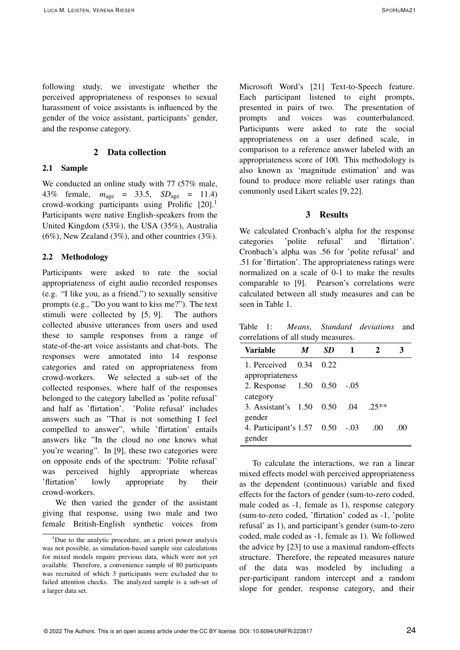following study, we investigate whether the perceived appropriateness of responses to sexual harassment of voice assistants is influenced by the gender of the voice assistant, participants' gender, and the response category.

## 2 Data collection

## 2.1 Sample

We conducted an online study with 77 (57% male, 43% female, *m*age = 33.5, *SD*age = 11.4) crowd-working participants using Prolific  $[20]$ <sup>1</sup> Participants were native English-speakers from the United Kingdom (53%), the USA (35%), Australia  $(6\%)$ , New Zealand  $(3\%)$ , and other countries  $(3\%)$ .

#### 2.2 Methodology

Participants were asked to rate the social appropriateness of eight audio recorded responses (e.g. "I like you, as a friend.") to sexually sensitive prompts (e.g., "Do you want to kiss me?"). The text stimuli were collected by [5, 9]. The authors collected abusive utterances from users and used these to sample responses from a range of state-of-the-art voice assistants and chat-bots. The responses were annotated into 14 response categories and rated on appropriateness from crowd-workers. We selected a sub-set of the collected responses, where half of the responses belonged to the category labelled as 'polite refusal' and half as 'flirtation'. 'Polite refusal' includes answers such as "That is not something I feel compelled to answer", while 'flirtation' entails answers like "In the cloud no one knows what you're wearing". In [9], these two categories were on opposite ends of the spectrum: 'Polite refusal' was perceived highly appropriate whereas 'flirtation' lowly appropriate by their crowd-workers.

We then varied the gender of the assistant giving that response, using two male and two female British-English synthetic voices from

Microsoft Word's [21] Text-to-Speech feature. Each participant listened to eight prompts, presented in pairs of two. The presentation of prompts and voices was counterbalanced. Participants were asked to rate the social appropriateness on a user defined scale, in comparison to a reference answer labeled with an appropriateness score of 100. This methodology is also known as 'magnitude estimation' and was found to produce more reliable user ratings than commonly used Likert scales [9, 22].

## 3 Results

We calculated Cronbach's alpha for the response categories 'polite refusal' and 'flirtation'. Cronbach's alpha was .56 for 'polite refusal' and .51 for 'flirtation'. The appropriateness ratings were normalized on a scale of 0-1 to make the results comparable to [9]. Pearson's correlations were calculated between all study measures and can be seen in Table 1.

Table 1: *Means*, *Standard deviations* and correlations of all study measures.

| Variable                           | M | SD.  |        |         |      |
|------------------------------------|---|------|--------|---------|------|
| 1. Perceived $0.34$                |   | 0.22 |        |         |      |
| appropriateness                    |   |      |        |         |      |
| 2. Response 1.50 0.50              |   |      | $-.05$ |         |      |
| category                           |   |      |        |         |      |
| 3. Assistant's 1.50 0.50           |   |      | .04    | $.25**$ |      |
| gender                             |   |      |        |         |      |
| 4. Participant's $1.57 \quad 0.50$ |   |      | $-.03$ | .00     | ()() |
| gender                             |   |      |        |         |      |

To calculate the interactions, we ran a linear mixed effects model with perceived appropriateness as the dependent (continuous) variable and fixed effects for the factors of gender (sum-to-zero coded, male coded as -1, female as 1), response category (sum-to-zero coded, 'flirtation' coded as -1, 'polite refusal' as 1), and participant's gender (sum-to-zero coded, male coded as -1, female as 1). We followed the advice by [23] to use a maximal random-effects structure. Therefore, the repeated measures nature of the data was modeled by including a per-participant random intercept and a random slope for gender, response category, and their

<sup>&</sup>lt;sup>1</sup>Due to the analytic procedure, an a priori power analysis was not possible, as simulation-based sample size calculations for mixed models require previous data, which were not yet available. Therefore, a convenience sample of 80 participants was recruited of which 3 participants were excluded due to failed attention checks. The analyzed sample is a sub-set of a larger data set.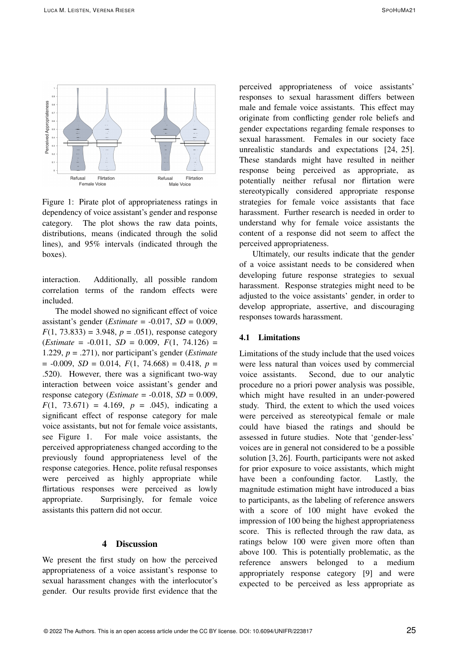

Figure 1: Pirate plot of appropriateness ratings in dependency of voice assistant's gender and response category. The plot shows the raw data points, distributions, means (indicated through the solid lines), and 95% intervals (indicated through the boxes).

interaction. Additionally, all possible random correlation terms of the random effects were included.

The model showed no significant effect of voice assistant's gender (*Estimate* =  $-0.017$ , *SD* = 0.009,  $F(1, 73.833) = 3.948$ ,  $p = .051$ ), response category  $(Estimate = -0.011, SD = 0.009, F(1, 74.126) =$ 1.229, *p* = .271), nor participant's gender (*Estimate*  $= -0.009$ , *SD* = 0.014, *F*(1, 74.668) = 0.418, *p* = .520). However, there was a significant two-way interaction between voice assistant's gender and response category (*Estimate* =  $-0.018$ , *SD* = 0.009,  $F(1, 73.671) = 4.169$ ,  $p = .045$ ), indicating a significant effect of response category for male voice assistants, but not for female voice assistants, see Figure 1. For male voice assistants, the perceived appropriateness changed according to the previously found appropriateness level of the response categories. Hence, polite refusal responses were perceived as highly appropriate while flirtatious responses were perceived as lowly appropriate. Surprisingly, for female voice assistants this pattern did not occur.

## 4 Discussion

We present the first study on how the perceived appropriateness of a voice assistant's response to sexual harassment changes with the interlocutor's gender. Our results provide first evidence that the

perceived appropriateness of voice assistants' responses to sexual harassment differs between male and female voice assistants. This effect may originate from conflicting gender role beliefs and gender expectations regarding female responses to sexual harassment. Females in our society face unrealistic standards and expectations [24, 25]. These standards might have resulted in neither response being perceived as appropriate, as potentially neither refusal nor flirtation were stereotypically considered appropriate response strategies for female voice assistants that face harassment. Further research is needed in order to understand why for female voice assistants the content of a response did not seem to affect the perceived appropriateness.

Ultimately, our results indicate that the gender of a voice assistant needs to be considered when developing future response strategies to sexual harassment. Response strategies might need to be adjusted to the voice assistants' gender, in order to develop appropriate, assertive, and discouraging responses towards harassment.

#### 4.1 Limitations

Limitations of the study include that the used voices were less natural than voices used by commercial voice assistants. Second, due to our analytic procedure no a priori power analysis was possible, which might have resulted in an under-powered study. Third, the extent to which the used voices were perceived as stereotypical female or male could have biased the ratings and should be assessed in future studies. Note that 'gender-less' voices are in general not considered to be a possible solution [3, 26]. Fourth, participants were not asked for prior exposure to voice assistants, which might have been a confounding factor. Lastly, the magnitude estimation might have introduced a bias to participants, as the labeling of reference answers with a score of 100 might have evoked the impression of 100 being the highest appropriateness score. This is reflected through the raw data, as ratings below 100 were given more often than above 100. This is potentially problematic, as the reference answers belonged to a medium appropriately response category [9] and were expected to be perceived as less appropriate as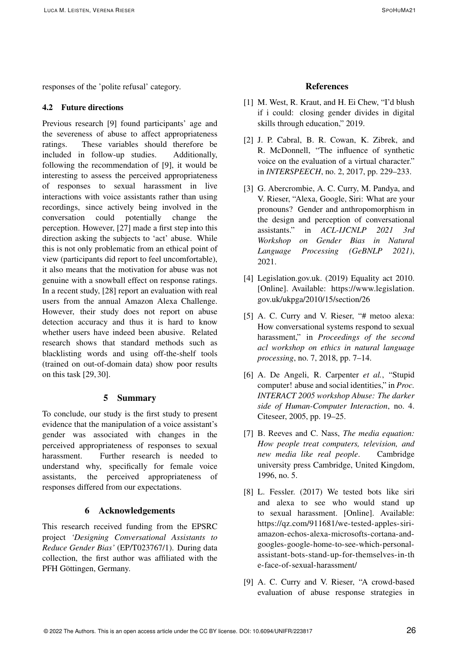responses of the 'polite refusal' category.

## 4.2 Future directions

Previous research [9] found participants' age and the severeness of abuse to affect appropriateness ratings. These variables should therefore be included in follow-up studies. Additionally, following the recommendation of [9], it would be interesting to assess the perceived appropriateness of responses to sexual harassment in live interactions with voice assistants rather than using recordings, since actively being involved in the conversation could potentially change the perception. However, [27] made a first step into this direction asking the subjects to 'act' abuse. While this is not only problematic from an ethical point of view (participants did report to feel uncomfortable), it also means that the motivation for abuse was not genuine with a snowball effect on response ratings. In a recent study, [28] report an evaluation with real users from the annual Amazon Alexa Challenge. However, their study does not report on abuse detection accuracy and thus it is hard to know whether users have indeed been abusive. Related research shows that standard methods such as blacklisting words and using off-the-shelf tools (trained on out-of-domain data) show poor results on this task [29, 30].

## 5 Summary

To conclude, our study is the first study to present evidence that the manipulation of a voice assistant's gender was associated with changes in the perceived appropriateness of responses to sexual harassment. Further research is needed to understand why, specifically for female voice assistants, the perceived appropriateness of responses differed from our expectations.

#### 6 Acknowledgements

This research received funding from the EPSRC project *'Designing Conversational Assistants to Reduce Gender Bias'* (EP/T023767/1). During data collection, the first author was affiliated with the PFH Göttingen, Germany.

#### References

- [1] M. West, R. Kraut, and H. Ei Chew, "I'd blush" if i could: closing gender divides in digital skills through education," 2019.
- [2] J. P. Cabral, B. R. Cowan, K. Zibrek, and R. McDonnell, "The influence of synthetic voice on the evaluation of a virtual character." in *INTERSPEECH*, no. 2, 2017, pp. 229–233.
- [3] G. Abercrombie, A. C. Curry, M. Pandya, and V. Rieser, "Alexa, Google, Siri: What are your pronouns? Gender and anthropomorphism in the design and perception of conversational assistants." in *ACL-IJCNLP 2021 3rd Workshop on Gender Bias in Natural Language Processing (GeBNLP 2021)*, 2021.
- [4] Legislation.gov.uk. (2019) Equality act 2010. [Online]. Available: https://www.legislation. gov.uk/ukpga/2010/15/section/26
- [5] A. C. Curry and V. Rieser, "# metoo alexa: How conversational systems respond to sexual harassment," in *Proceedings of the second acl workshop on ethics in natural language processing*, no. 7, 2018, pp. 7–14.
- [6] A. De Angeli, R. Carpenter *et al.*, "Stupid computer! abuse and social identities," in *Proc. INTERACT 2005 workshop Abuse: The darker side of Human-Computer Interaction*, no. 4. Citeseer, 2005, pp. 19–25.
- [7] B. Reeves and C. Nass, *The media equation: How people treat computers, television, and new media like real people*. Cambridge university press Cambridge, United Kingdom, 1996, no. 5.
- [8] L. Fessler. (2017) We tested bots like siri and alexa to see who would stand up to sexual harassment. [Online]. Available: https://qz.com/911681/we-tested-apples-siriamazon-echos-alexa-microsofts-cortana-andgoogles-google-home-to-see-which-personalassistant-bots-stand-up-for-themselves-in-th e-face-of-sexual-harassment/
- [9] A. C. Curry and V. Rieser, "A crowd-based evaluation of abuse response strategies in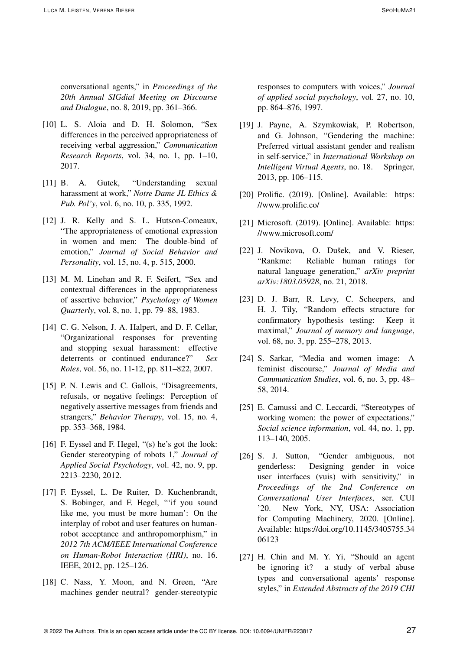- [10] L. S. Aloia and D. H. Solomon, "Sex differences in the perceived appropriateness of receiving verbal aggression," *Communication Research Reports*, vol. 34, no. 1, pp. 1–10, 2017.
- [11] B. A. Gutek, "Understanding sexual harassment at work," *Notre Dame JL Ethics & Pub. Pol'y*, vol. 6, no. 10, p. 335, 1992.
- [12] J. R. Kelly and S. L. Hutson-Comeaux, "The appropriateness of emotional expression in women and men: The double-bind of emotion," *Journal of Social Behavior and Personality*, vol. 15, no. 4, p. 515, 2000.
- [13] M. M. Linehan and R. F. Seifert, "Sex and contextual differences in the appropriateness of assertive behavior," *Psychology of Women Quarterly*, vol. 8, no. 1, pp. 79–88, 1983.
- [14] C. G. Nelson, J. A. Halpert, and D. F. Cellar, "Organizational responses for preventing and stopping sexual harassment: effective deterrents or continued endurance?" *Sex Roles*, vol. 56, no. 11-12, pp. 811–822, 2007.
- [15] P. N. Lewis and C. Gallois, "Disagreements, refusals, or negative feelings: Perception of negatively assertive messages from friends and strangers," *Behavior Therapy*, vol. 15, no. 4, pp. 353–368, 1984.
- [16] F. Eyssel and F. Hegel, "(s) he's got the look: Gender stereotyping of robots 1," *Journal of Applied Social Psychology*, vol. 42, no. 9, pp. 2213–2230, 2012.
- [17] F. Eyssel, L. De Ruiter, D. Kuchenbrandt, S. Bobinger, and F. Hegel, "'if you sound like me, you must be more human': On the interplay of robot and user features on humanrobot acceptance and anthropomorphism," in *2012 7th ACM/IEEE International Conference on Human-Robot Interaction (HRI)*, no. 16. IEEE, 2012, pp. 125–126.
- [18] C. Nass, Y. Moon, and N. Green, "Are machines gender neutral? gender-stereotypic

responses to computers with voices," *Journal of applied social psychology*, vol. 27, no. 10, pp. 864–876, 1997.

- [19] J. Payne, A. Szymkowiak, P. Robertson, and G. Johnson, "Gendering the machine: Preferred virtual assistant gender and realism in self-service," in *International Workshop on Intelligent Virtual Agents*, no. 18. Springer, 2013, pp. 106–115.
- [20] Prolific. (2019). [Online]. Available: https: //www.prolific.co/
- [21] Microsoft. (2019). [Online]. Available: https: //www.microsoft.com/
- [22] J. Novikova, O. Dušek, and V. Rieser, "Rankme: Reliable human ratings for natural language generation," *arXiv preprint arXiv:1803.05928*, no. 21, 2018.
- [23] D. J. Barr, R. Levy, C. Scheepers, and H. J. Tily, "Random effects structure for confirmatory hypothesis testing: Keep it maximal," *Journal of memory and language*, vol. 68, no. 3, pp. 255–278, 2013.
- [24] S. Sarkar, "Media and women image: A feminist discourse," *Journal of Media and Communication Studies*, vol. 6, no. 3, pp. 48– 58, 2014.
- [25] E. Camussi and C. Leccardi, "Stereotypes of working women: the power of expectations," *Social science information*, vol. 44, no. 1, pp. 113–140, 2005.
- [26] S. J. Sutton, "Gender ambiguous, not genderless: Designing gender in voice user interfaces (vuis) with sensitivity," in *Proceedings of the 2nd Conference on Conversational User Interfaces*, ser. CUI '20. New York, NY, USA: Association for Computing Machinery, 2020. [Online]. Available: https://doi.org/10.1145/3405755.34 06123
- [27] H. Chin and M. Y. Yi, "Should an agent be ignoring it? a study of verbal abuse types and conversational agents' response styles," in *Extended Abstracts of the 2019 CHI*